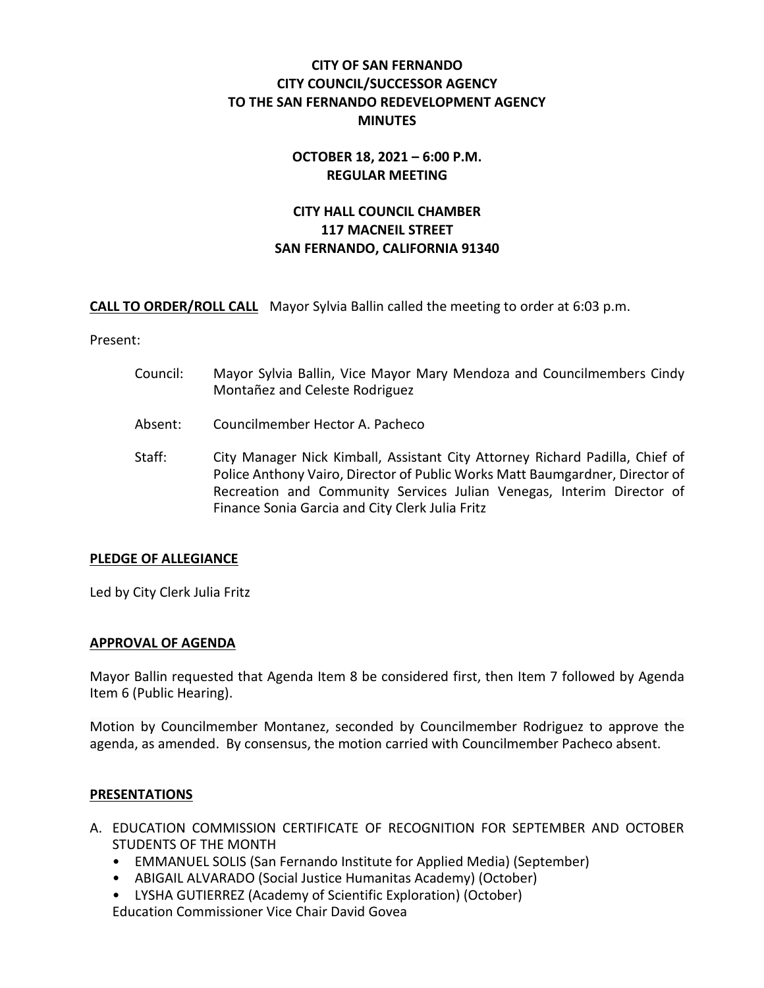# **CITY OF SAN FERNANDO CITY COUNCIL/SUCCESSOR AGENCY TO THE SAN FERNANDO REDEVELOPMENT AGENCY MINUTES**

# **OCTOBER 18, 2021 – 6:00 P.M. REGULAR MEETING**

# **CITY HALL COUNCIL CHAMBER 117 MACNEIL STREET SAN FERNANDO, CALIFORNIA 91340**

**CALL TO ORDER/ROLL CALL** Mayor Sylvia Ballin called the meeting to order at 6:03 p.m.

Present:

- Council: Mayor Sylvia Ballin, Vice Mayor Mary Mendoza and Councilmembers Cindy Montañez and Celeste Rodriguez
- Absent: Councilmember Hector A. Pacheco
- Staff: City Manager Nick Kimball, Assistant City Attorney Richard Padilla, Chief of Police Anthony Vairo, Director of Public Works Matt Baumgardner, Director of Recreation and Community Services Julian Venegas, Interim Director of Finance Sonia Garcia and City Clerk Julia Fritz

# **PLEDGE OF ALLEGIANCE**

Led by City Clerk Julia Fritz

## **APPROVAL OF AGENDA**

Mayor Ballin requested that Agenda Item 8 be considered first, then Item 7 followed by Agenda Item 6 (Public Hearing).

Motion by Councilmember Montanez, seconded by Councilmember Rodriguez to approve the agenda, as amended. By consensus, the motion carried with Councilmember Pacheco absent.

## **PRESENTATIONS**

- A. EDUCATION COMMISSION CERTIFICATE OF RECOGNITION FOR SEPTEMBER AND OCTOBER STUDENTS OF THE MONTH
	- EMMANUEL SOLIS (San Fernando Institute for Applied Media) (September)
	- ABIGAIL ALVARADO (Social Justice Humanitas Academy) (October)
	- LYSHA GUTIERREZ (Academy of Scientific Exploration) (October)

Education Commissioner Vice Chair David Govea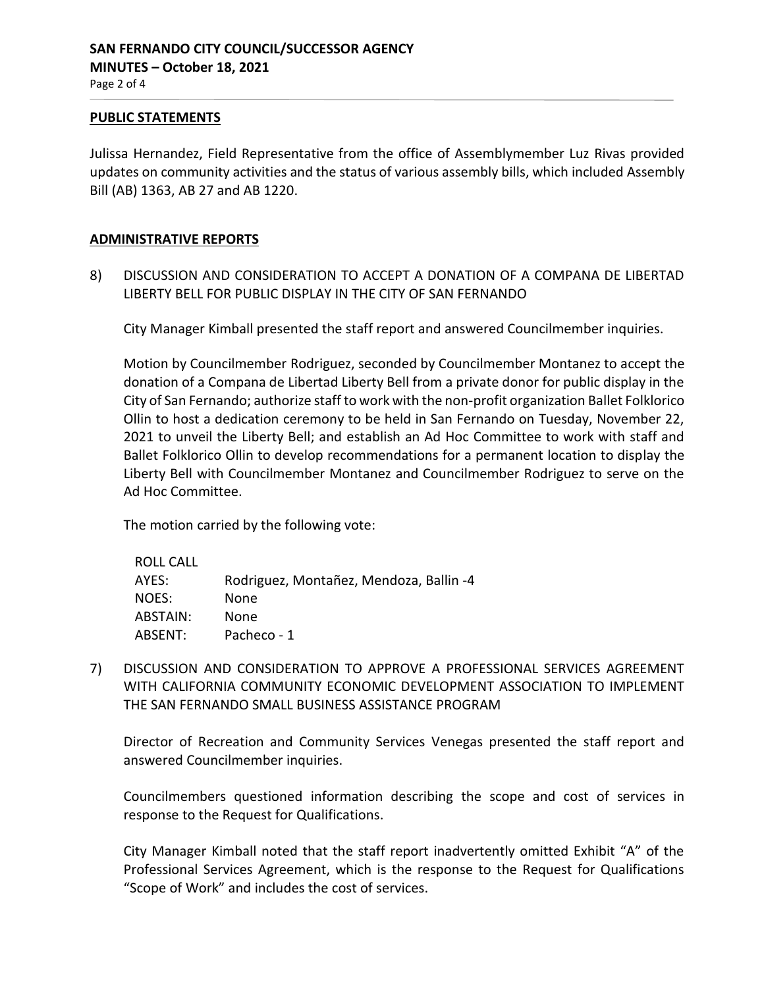#### **PUBLIC STATEMENTS**

Julissa Hernandez, Field Representative from the office of Assemblymember Luz Rivas provided updates on community activities and the status of various assembly bills, which included Assembly Bill (AB) 1363, AB 27 and AB 1220.

## **ADMINISTRATIVE REPORTS**

8) DISCUSSION AND CONSIDERATION TO ACCEPT A DONATION OF A COMPANA DE LIBERTAD LIBERTY BELL FOR PUBLIC DISPLAY IN THE CITY OF SAN FERNANDO

City Manager Kimball presented the staff report and answered Councilmember inquiries.

Motion by Councilmember Rodriguez, seconded by Councilmember Montanez to accept the donation of a Compana de Libertad Liberty Bell from a private donor for public display in the City of San Fernando; authorize staff to work with the non-profit organization Ballet Folklorico Ollin to host a dedication ceremony to be held in San Fernando on Tuesday, November 22, 2021 to unveil the Liberty Bell; and establish an Ad Hoc Committee to work with staff and Ballet Folklorico Ollin to develop recommendations for a permanent location to display the Liberty Bell with Councilmember Montanez and Councilmember Rodriguez to serve on the Ad Hoc Committee.

The motion carried by the following vote:

| ROLL CALL |                                         |
|-----------|-----------------------------------------|
| AYES:     | Rodriguez, Montañez, Mendoza, Ballin -4 |
| NOES:     | None                                    |
| ABSTAIN:  | None                                    |
| ABSENT:   | Pacheco - 1                             |
|           |                                         |

7) DISCUSSION AND CONSIDERATION TO APPROVE A PROFESSIONAL SERVICES AGREEMENT WITH CALIFORNIA COMMUNITY ECONOMIC DEVELOPMENT ASSOCIATION TO IMPLEMENT THE SAN FERNANDO SMALL BUSINESS ASSISTANCE PROGRAM

Director of Recreation and Community Services Venegas presented the staff report and answered Councilmember inquiries.

Councilmembers questioned information describing the scope and cost of services in response to the Request for Qualifications.

City Manager Kimball noted that the staff report inadvertently omitted Exhibit "A" of the Professional Services Agreement, which is the response to the Request for Qualifications "Scope of Work" and includes the cost of services.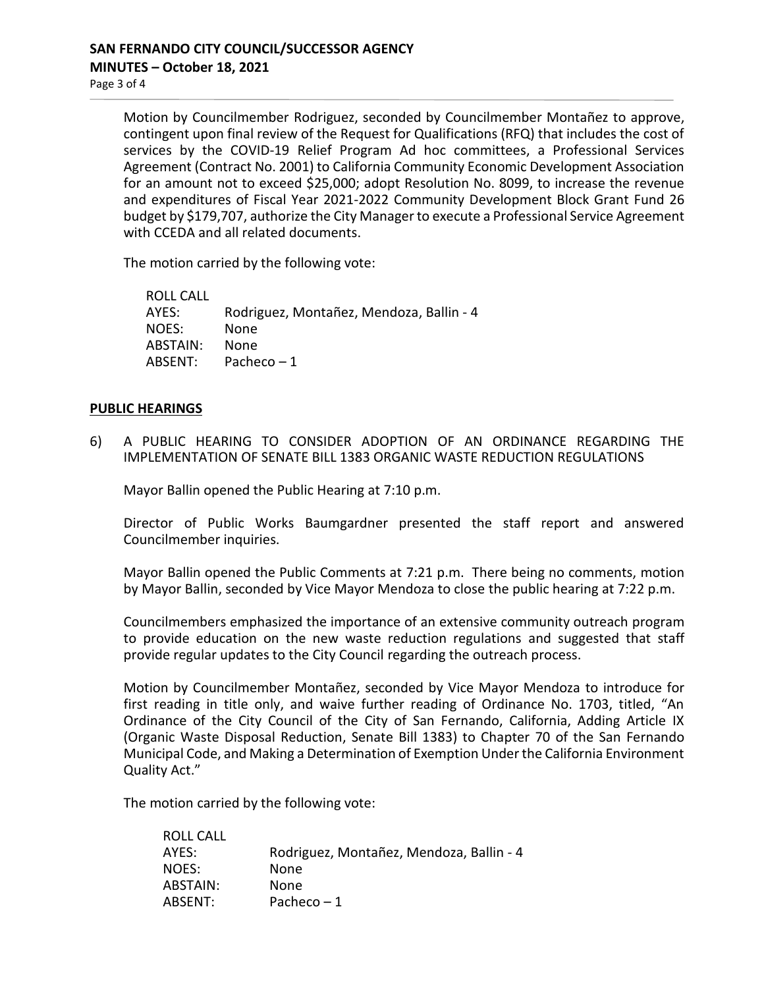Motion by Councilmember Rodriguez, seconded by Councilmember Montañez to approve, contingent upon final review of the Request for Qualifications (RFQ) that includes the cost of services by the COVID-19 Relief Program Ad hoc committees, a Professional Services Agreement (Contract No. 2001) to California Community Economic Development Association for an amount not to exceed \$25,000; adopt Resolution No. 8099, to increase the revenue and expenditures of Fiscal Year 2021-2022 Community Development Block Grant Fund 26 budget by \$179,707, authorize the City Manager to execute a Professional Service Agreement with CCEDA and all related documents.

The motion carried by the following vote:

ROLL CALL AYES: Rodriguez, Montañez, Mendoza, Ballin - 4 NOES: None ABSTAIN: None ABSENT: Pacheco – 1

#### **PUBLIC HEARINGS**

6) A PUBLIC HEARING TO CONSIDER ADOPTION OF AN ORDINANCE REGARDING THE IMPLEMENTATION OF SENATE BILL 1383 ORGANIC WASTE REDUCTION REGULATIONS

Mayor Ballin opened the Public Hearing at 7:10 p.m.

Director of Public Works Baumgardner presented the staff report and answered Councilmember inquiries.

Mayor Ballin opened the Public Comments at 7:21 p.m. There being no comments, motion by Mayor Ballin, seconded by Vice Mayor Mendoza to close the public hearing at 7:22 p.m.

Councilmembers emphasized the importance of an extensive community outreach program to provide education on the new waste reduction regulations and suggested that staff provide regular updates to the City Council regarding the outreach process.

Motion by Councilmember Montañez, seconded by Vice Mayor Mendoza to introduce for first reading in title only, and waive further reading of Ordinance No. 1703, titled, "An Ordinance of the City Council of the City of San Fernando, California, Adding Article IX (Organic Waste Disposal Reduction, Senate Bill 1383) to Chapter 70 of the San Fernando Municipal Code, and Making a Determination of Exemption Under the California Environment Quality Act."

The motion carried by the following vote:

| ROLL CALL |                                          |
|-----------|------------------------------------------|
| AYES:     | Rodriguez, Montañez, Mendoza, Ballin - 4 |
| NOES:     | None                                     |
| ABSTAIN:  | None                                     |
| ABSENT:   | Pacheco $-1$                             |